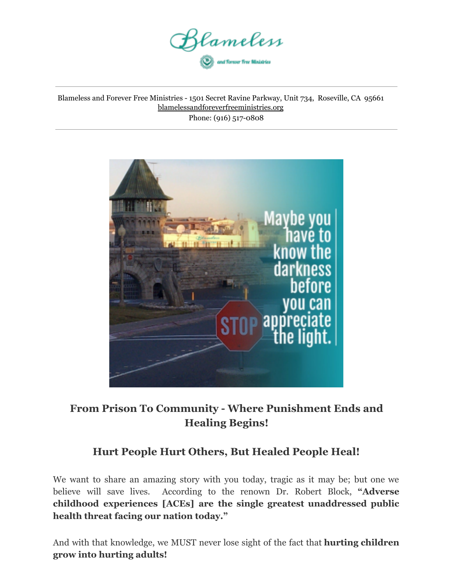

Blameless and Forever Free Ministries - 1501 Secret Ravine Parkway, Unit 734, Roseville, CA 95661 blamelessandforeverfreeministries.org Phone: (916) 517-0808



# **From Prison To Community - Where Punishment Ends and Healing Begins!**

# **Hurt People Hurt Others, But Healed People Heal!**

We want to share an amazing story with you today, tragic as it may be; but one we believe will save lives. According to the renown Dr. Robert Block, **"Adverse childhood experiences [ACEs] are the single greatest unaddressed public health threat facing our nation today."**

And with that knowledge, we MUST never lose sight of the fact that **hurting children grow into hurting adults!**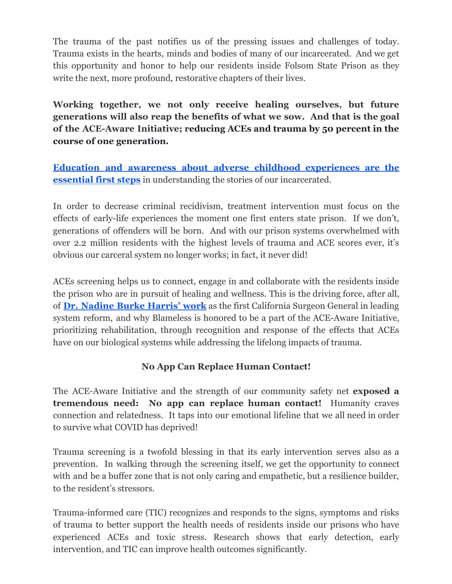The trauma of the past notifies us of the pressing issues and challenges of today. Trauma exists in the hearts, minds and bodies of many of our incarcerated. And we get this opportunity and honor to help our residents inside Folsom State Prison as they write the next, more profound, restorative chapters of their lives.

**Working together, we not only receive healing ourselves, but future generations will also reap the benefits of what we sow. And that is the goal of the ACE-Aware Initiative; reducing ACEs and trauma by 50 percent in the course of one generation.**

**Education and awareness about adverse childhood [experiences](https://www.blamelessandforeverfreeministries.org/trauma-wounds) are the [essential first steps](https://www.blamelessandforeverfreeministries.org/trauma-wounds)** in understanding the stories of our incarcerated.

In order to decrease criminal recidivism, treatment intervention must focus on the effects of early-life experiences the moment one first enters state prison. If we don't, generations of offenders will be born. And with our prison systems overwhelmed with over 2.2 million residents with the highest levels of trauma and ACE scores ever, it's obvious our carceral system no longer works; in fact, it never did!

ACEs screening helps us to connect, engage in and collaborate with the residents inside the prison who are in pursuit of healing and wellness. This is the driving force, after all, of **Dr. [Nadine](https://youtu.be/95ovIJ3dsNk) Burke Harris' work** as the first California Surgeon General in leading system reform, and why Blameless is honored to be a part of the ACE-Aware Initiative, prioritizing rehabilitation, through recognition and response of the effects that ACEs have on our biological systems while addressing the lifelong impacts of trauma.

#### **No App Can Replace Human Contact!**

The ACE-Aware Initiative and the strength of our community safety net **exposed a tremendous need: No app can replace human contact!** Humanity craves connection and relatedness. It taps into our emotional lifeline that we all need in order to survive what COVID has deprived!

Trauma screening is a twofold blessing in that its early intervention serves also as a prevention. In walking through the screening itself, we get the opportunity to connect with and be a buffer zone that is not only caring and empathetic, but a resilience builder, to the resident's stressors.

Trauma-informed care (TIC) recognizes and responds to the signs, symptoms and risks of trauma to better support the health needs of residents inside our prisons who have experienced ACEs and toxic stress. Research shows that early detection, early intervention, and TIC can improve health outcomes significantly.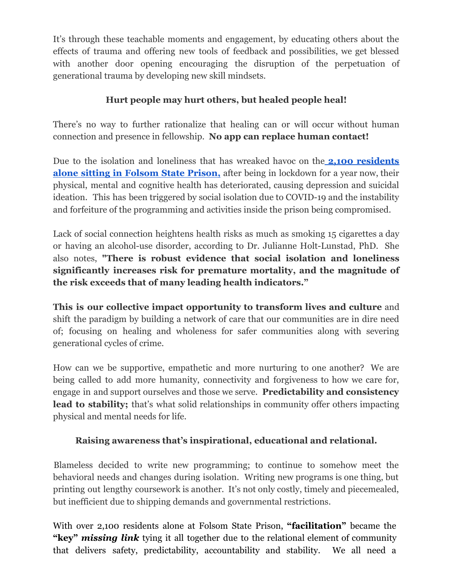It's through these teachable moments and engagement, by educating others about the effects of trauma and offering new tools of feedback and possibilities, we get blessed with another door opening encouraging the disruption of the perpetuation of generational trauma by developing new skill mindsets.

## **Hurt people may hurt others, but healed people heal!**

There's no way to further rationalize that healing can or will occur without human connection and presence in fellowship. **No app can replace human contact!**

Due to the isolation and loneliness that has wreaked havoc on the **2,100 [residents](https://www.cdcr.ca.gov/research/wp-content/uploads/sites/174/2021/02/Tpop1d210210.pdf) alone sitting in [Folsom](https://www.cdcr.ca.gov/research/wp-content/uploads/sites/174/2021/02/Tpop1d210210.pdf) State Prison,** after being in lockdown for a year now, their physical, mental and cognitive health has deteriorated, causing depression and suicidal ideation. This has been triggered by social isolation due to COVID-19 and the instability and forfeiture of the programming and activities inside the prison being compromised.

Lack of social connection heightens health risks as much as smoking 15 cigarettes a day or having an alcohol-use disorder, according to Dr. Julianne Holt-Lunstad, PhD. She also notes, **"There is robust evidence that social isolation and loneliness significantly increases risk for premature mortality, and the magnitude of the risk exceeds that of many leading health indicators."**

**This is our collective impact opportunity to transform lives and culture** and shift the paradigm by building a network of care that our communities are in dire need of; focusing on healing and wholeness for safer communities along with severing generational cycles of crime.

How can we be supportive, empathetic and more nurturing to one another? We are being called to add more humanity, connectivity and forgiveness to how we care for, engage in and support ourselves and those we serve. **Predictability and consistency lead to stability;** that's what solid relationships in community offer others impacting physical and mental needs for life.

#### **Raising awareness that's inspirational, educational and relational.**

Blameless decided to write new programming; to continue to somehow meet the behavioral needs and changes during isolation. Writing new programs is one thing, but printing out lengthy coursework is another. It's not only costly, timely and piecemealed, but inefficient due to shipping demands and governmental restrictions.

With over 2,100 residents alone at Folsom State Prison, **"facilitation"** became the **"key"** *missing link* tying it all together due to the relational element of community that delivers safety, predictability, accountability and stability. We all need a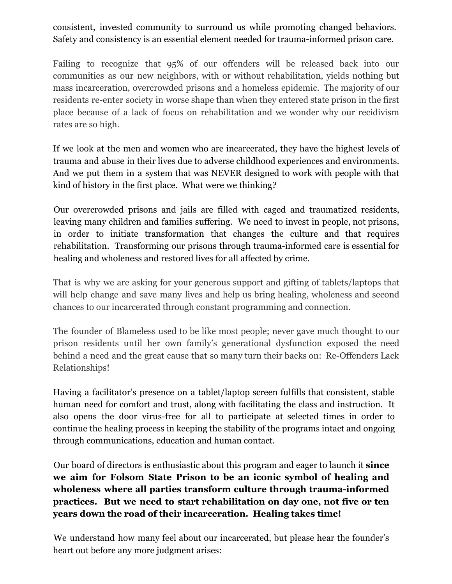consistent, invested community to surround us while promoting changed behaviors. Safety and consistency is an essential element needed for trauma-informed prison care.

Failing to recognize that 95% of our offenders will be released back into our communities as our new neighbors, with or without rehabilitation, yields nothing but mass incarceration, overcrowded prisons and a homeless epidemic. The majority of our residents re-enter society in worse shape than when they entered state prison in the first place because of a lack of focus on rehabilitation and we wonder why our recidivism rates are so high.

If we look at the men and women who are incarcerated, they have the highest levels of trauma and abuse in their lives due to adverse childhood experiences and environments. And we put them in a system that was NEVER designed to work with people with that kind of history in the first place. What were we thinking?

Our overcrowded prisons and jails are filled with caged and traumatized residents, leaving many children and families suffering. We need to invest in people, not prisons, in order to initiate transformation that changes the culture and that requires rehabilitation. Transforming our prisons through trauma-informed care is essential for healing and wholeness and restored lives for all affected by crime.

That is why we are asking for your generous support and gifting of tablets/laptops that will help change and save many lives and help us bring healing, wholeness and second chances to our incarcerated through constant programming and connection.

The founder of Blameless used to be like most people; never gave much thought to our prison residents until her own family's generational dysfunction exposed the need behind a need and the great cause that so many turn their backs on: Re-Offenders Lack Relationships!

Having a facilitator's presence on a tablet/laptop screen fulfills that consistent, stable human need for comfort and trust, along with facilitating the class and instruction. It also opens the door virus-free for all to participate at selected times in order to continue the healing process in keeping the stability of the programs intact and ongoing through communications, education and human contact.

Our board of directors is enthusiastic about this program and eager to launch it **since we aim for Folsom State Prison to be an iconic symbol of healing and wholeness where all parties transform culture through trauma-informed practices. But we need to start rehabilitation on day one, not five or ten years down the road of their incarceration. Healing takes time!**

We understand how many feel about our incarcerated, but please hear the founder's heart out before any more judgment arises: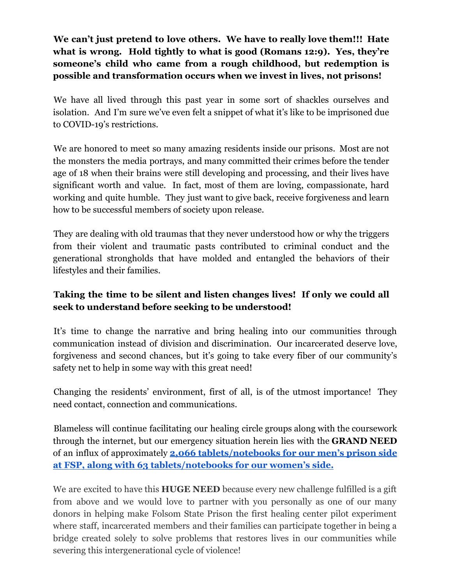**We can't just pretend to love others. We have to really love them!!! Hate what is wrong. Hold tightly to what is good (Romans 12:9). Yes, they're someone's child who came from a rough childhood, but redemption is possible and transformation occurs when we invest in lives, not prisons!**

We have all lived through this past year in some sort of shackles ourselves and isolation. And I'm sure we've even felt a snippet of what it's like to be imprisoned due to COVID-19's restrictions.

We are honored to meet so many amazing residents inside our prisons. Most are not the monsters the media portrays, and many committed their crimes before the tender age of 18 when their brains were still developing and processing, and their lives have significant worth and value. In fact, most of them are loving, compassionate, hard working and quite humble. They just want to give back, receive forgiveness and learn how to be successful members of society upon release.

They are dealing with old traumas that they never understood how or why the triggers from their violent and traumatic pasts contributed to criminal conduct and the generational strongholds that have molded and entangled the behaviors of their lifestyles and their families.

## **Taking the time to be silent and listen changes lives! If only we could all seek to understand before seeking to be understood!**

It's time to change the narrative and bring healing into our communities through communication instead of division and discrimination. Our incarcerated deserve love, forgiveness and second chances, but it's going to take every fiber of our community's safety net to help in some way with this great need!

Changing the residents' environment, first of all, is of the utmost importance! They need contact, connection and communications.

Blameless will continue facilitating our healing circle groups along with the coursework through the internet, but our emergency situation herein lies with the **GRAND NEED** of an influx of approximately **2,066 [tablets/notebooks](https://www.cdcr.ca.gov/research/wp-content/uploads/sites/174/2021/02/Tpop1d210217.pdf) for our men's prison side at FSP, along with 63 [tablets/notebooks for our women's](https://www.cdcr.ca.gov/research/wp-content/uploads/sites/174/2021/02/Tpop1d210217.pdf) side.**

We are excited to have this **HUGE NEED** because every new challenge fulfilled is a gift from above and we would love to partner with you personally as one of our many donors in helping make Folsom State Prison the first healing center pilot experiment where staff, incarcerated members and their families can participate together in being a bridge created solely to solve problems that restores lives in our communities while severing this intergenerational cycle of violence!